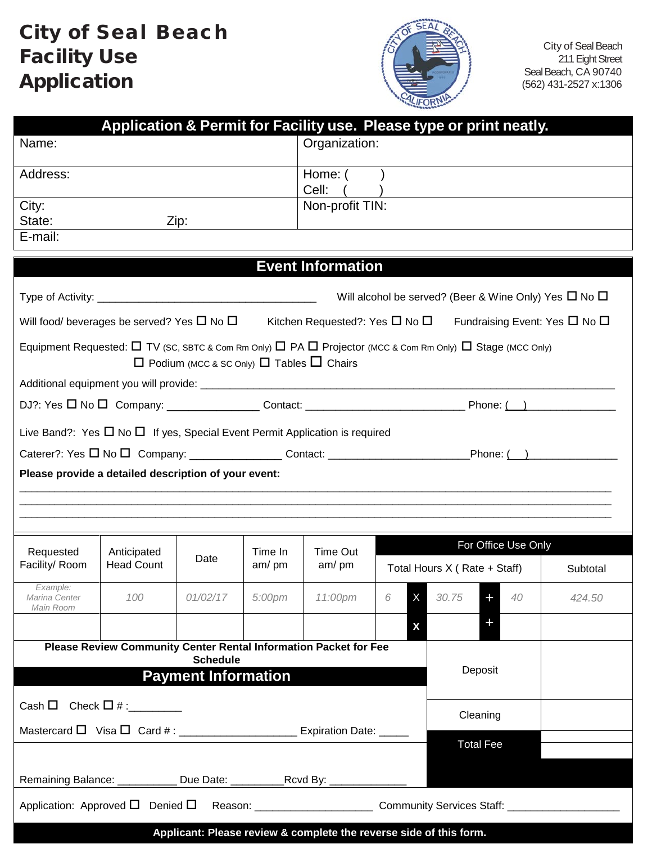## City of Seal Beach Facility Use Application



City of Seal Beach 211 Eight Street Seal Beach, CA 90740 (562) 431-2527 x:1306

|                                                                                                                                                                                                         |                                                                  |                                                           |                 |                                                                    |       | Application & Permit for Facility use. Please type or print neatly.                                                            |          |  |
|---------------------------------------------------------------------------------------------------------------------------------------------------------------------------------------------------------|------------------------------------------------------------------|-----------------------------------------------------------|-----------------|--------------------------------------------------------------------|-------|--------------------------------------------------------------------------------------------------------------------------------|----------|--|
| Name:                                                                                                                                                                                                   |                                                                  |                                                           | Organization:   |                                                                    |       |                                                                                                                                |          |  |
| Address:                                                                                                                                                                                                |                                                                  |                                                           | Home: (         |                                                                    |       |                                                                                                                                |          |  |
|                                                                                                                                                                                                         |                                                                  |                                                           |                 | Cell:                                                              |       |                                                                                                                                |          |  |
| City:<br>State:                                                                                                                                                                                         |                                                                  |                                                           |                 | Non-profit TIN:                                                    |       |                                                                                                                                |          |  |
| E-mail:                                                                                                                                                                                                 |                                                                  | Zip:                                                      |                 |                                                                    |       |                                                                                                                                |          |  |
|                                                                                                                                                                                                         |                                                                  |                                                           |                 |                                                                    |       |                                                                                                                                |          |  |
|                                                                                                                                                                                                         |                                                                  |                                                           |                 | <b>Event Information</b>                                           |       |                                                                                                                                |          |  |
|                                                                                                                                                                                                         | Will alcohol be served? (Beer & Wine Only) Yes $\Box$ No $\Box$  |                                                           |                 |                                                                    |       |                                                                                                                                |          |  |
| Will food/ beverages be served? Yes $\Box$ No $\Box$ Kitchen Requested?: Yes $\Box$ No $\Box$ Fundraising Event: Yes $\Box$ No $\Box$                                                                   |                                                                  |                                                           |                 |                                                                    |       |                                                                                                                                |          |  |
|                                                                                                                                                                                                         |                                                                  |                                                           |                 |                                                                    |       | Equipment Requested: $\Box$ TV (SC, SBTC & Com Rm Only) $\Box$ PA $\Box$ Projector (MCC & Com Rm Only) $\Box$ Stage (MCC Only) |          |  |
|                                                                                                                                                                                                         |                                                                  | $\Box$ Podium (MCC & SC Only) $\Box$ Tables $\Box$ Chairs |                 |                                                                    |       |                                                                                                                                |          |  |
|                                                                                                                                                                                                         |                                                                  |                                                           |                 |                                                                    |       |                                                                                                                                |          |  |
|                                                                                                                                                                                                         |                                                                  |                                                           |                 |                                                                    |       |                                                                                                                                |          |  |
| Live Band?: Yes $\Box$ No $\Box$ If yes, Special Event Permit Application is required<br>Caterer?: Yes □ No □ Company: __________________Contact: ________________________Phone: (__)__________________ |                                                                  |                                                           |                 |                                                                    |       |                                                                                                                                |          |  |
| Please provide a detailed description of your event:                                                                                                                                                    |                                                                  |                                                           |                 |                                                                    |       |                                                                                                                                |          |  |
|                                                                                                                                                                                                         |                                                                  |                                                           |                 |                                                                    |       |                                                                                                                                |          |  |
|                                                                                                                                                                                                         |                                                                  |                                                           |                 |                                                                    |       |                                                                                                                                |          |  |
|                                                                                                                                                                                                         |                                                                  |                                                           |                 |                                                                    |       |                                                                                                                                |          |  |
| Requested                                                                                                                                                                                               | Anticipated                                                      | Date                                                      | Time In<br>am/m | <b>Time Out</b><br>am/m                                            |       | For Office Use Only                                                                                                            |          |  |
| Facility/Room                                                                                                                                                                                           | <b>Head Count</b>                                                |                                                           |                 |                                                                    |       | Total Hours X (Rate + Staff)                                                                                                   | Subtotal |  |
| Example:<br>Marina Center                                                                                                                                                                               | 100                                                              | 01/02/17                                                  |                 | 5:00pm 11:00pm                                                     | $6-1$ | X 30.75<br>40<br>÷.                                                                                                            | 424.50   |  |
| Main Room                                                                                                                                                                                               |                                                                  |                                                           |                 |                                                                    |       |                                                                                                                                |          |  |
|                                                                                                                                                                                                         |                                                                  |                                                           |                 |                                                                    | X     |                                                                                                                                |          |  |
|                                                                                                                                                                                                         | Please Review Community Center Rental Information Packet for Fee | <b>Schedule</b>                                           |                 |                                                                    |       |                                                                                                                                |          |  |
|                                                                                                                                                                                                         |                                                                  | <b>Payment Information</b>                                |                 |                                                                    |       | Deposit                                                                                                                        |          |  |
|                                                                                                                                                                                                         |                                                                  |                                                           |                 |                                                                    |       |                                                                                                                                |          |  |
| Cash $\Box$ Check $\Box$ # : _________                                                                                                                                                                  |                                                                  |                                                           |                 |                                                                    |       | Cleaning                                                                                                                       |          |  |
| <b>Total Fee</b>                                                                                                                                                                                        |                                                                  |                                                           |                 |                                                                    |       |                                                                                                                                |          |  |
|                                                                                                                                                                                                         |                                                                  |                                                           |                 |                                                                    |       |                                                                                                                                |          |  |
|                                                                                                                                                                                                         |                                                                  |                                                           |                 |                                                                    |       |                                                                                                                                |          |  |
|                                                                                                                                                                                                         |                                                                  |                                                           |                 |                                                                    |       | Application: Approved $\square$ Denied $\square$ Reason: ______________________ Community Services Staff: ____________________ |          |  |
|                                                                                                                                                                                                         |                                                                  |                                                           |                 | Applicant: Please review & complete the reverse side of this form. |       |                                                                                                                                |          |  |